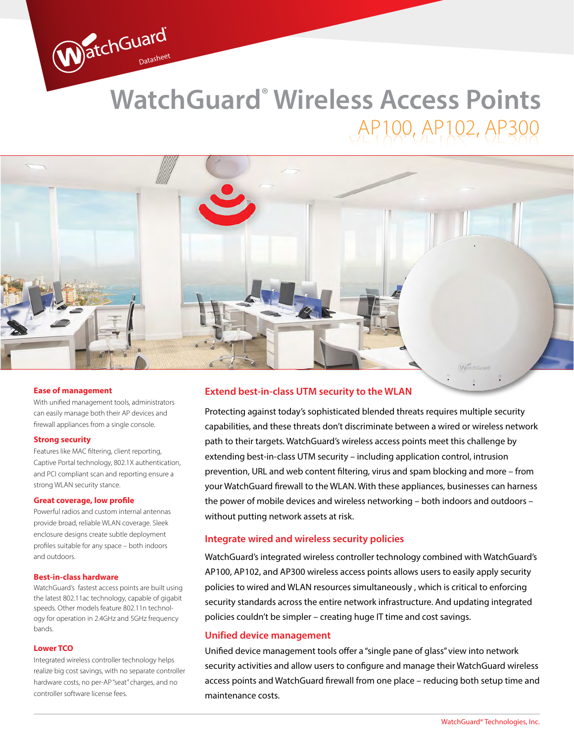# **WatchGuard® Wireless Access Points** AP100, AP102, AP300



#### **Ease of management**

With unified management tools, administrators can easily manage both their AP devices and firewall appliances from a single console.

WatchGuard

#### **Strong security**

Features like MAC filtering, client reporting, Captive Portal technology, 802.1X authentication, and PCI compliant scan and reporting ensure a strong WLAN security stance.

#### **Great coverage, low profile**

Powerful radios and custom internal antennas provide broad, reliable WLAN coverage. Sleek enclosure designs create subtle deployment profiles suitable for any space – both indoors and outdoors.

#### **Best-in-class hardware**

WatchGuard's fastest access points are built using the latest 802.11ac technology, capable of gigabit speeds. Other models feature 802.11n technology for operation in 2.4GHz and 5GHz frequency bands.

#### **Lower TCO**

Integrated wireless controller technology helps realize big cost savings, with no separate controller hardware costs, no per-AP "seat" charges, and no controller software license fees.

### **Extend best-in-class UTM security to the WLAN**

Protecting against today's sophisticated blended threats requires multiple security capabilities, and these threats don't discriminate between a wired or wireless network path to their targets. WatchGuard's wireless access points meet this challenge by extending best-in-class UTM security – including application control, intrusion prevention, URL and web content filtering, virus and spam blocking and more – from your WatchGuard firewall to the WLAN. With these appliances, businesses can harness the power of mobile devices and wireless networking – both indoors and outdoors – without putting network assets at risk.

#### **Integrate wired and wireless security policies**

WatchGuard's integrated wireless controller technology combined with WatchGuard's AP100, AP102, and AP300 wireless access points allows users to easily apply security policies to wired and WLAN resources simultaneously , which is critical to enforcing security standards across the entire network infrastructure. And updating integrated policies couldn't be simpler – creating huge IT time and cost savings.

#### **Unified device management**

Unified device management tools offer a "single pane of glass" view into network security activities and allow users to configure and manage their WatchGuard wireless access points and WatchGuard firewall from one place – reducing both setup time and maintenance costs.